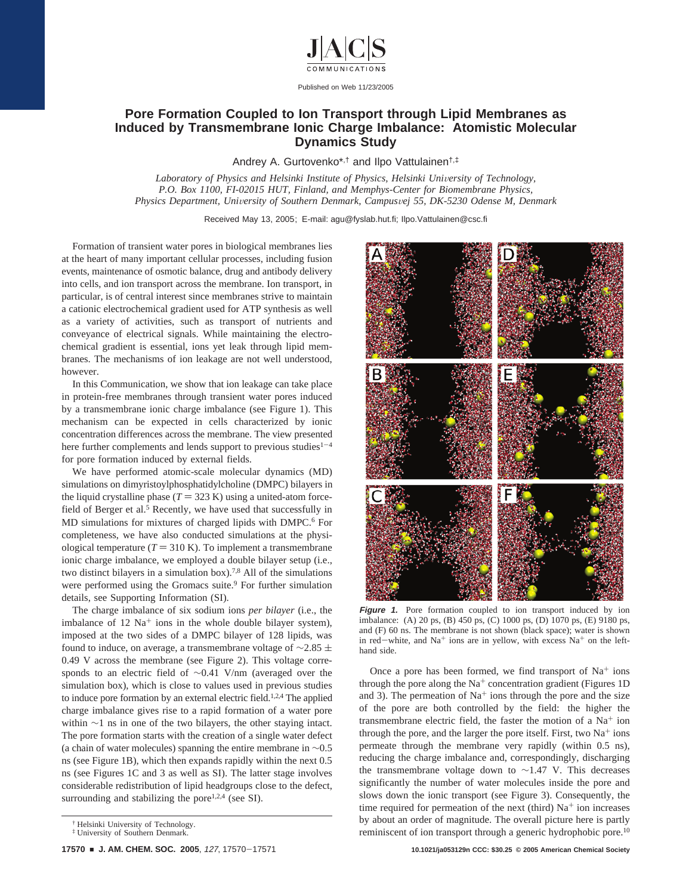

Published on Web 11/23/2005

## **Pore Formation Coupled to Ion Transport through Lipid Membranes as Induced by Transmembrane Ionic Charge Imbalance: Atomistic Molecular Dynamics Study**

Andrey A. Gurtovenko\*,† and Ilpo Vattulainen†,‡

Laboratory of Physics and Helsinki Institute of Physics, Helsinki University of Technology, *P.O. Box 1100, FI-02015 HUT, Finland, and Memphys-Center for Biomembrane Physics, Physics Department, Uni*V*ersity of Southern Denmark, Campus*V*ej 55, DK-5230 Odense M, Denmark*

Received May 13, 2005; E-mail: agu@fyslab.hut.fi; Ilpo.Vattulainen@csc.fi

Formation of transient water pores in biological membranes lies at the heart of many important cellular processes, including fusion events, maintenance of osmotic balance, drug and antibody delivery into cells, and ion transport across the membrane. Ion transport, in particular, is of central interest since membranes strive to maintain a cationic electrochemical gradient used for ATP synthesis as well as a variety of activities, such as transport of nutrients and conveyance of electrical signals. While maintaining the electrochemical gradient is essential, ions yet leak through lipid membranes. The mechanisms of ion leakage are not well understood, however.

In this Communication, we show that ion leakage can take place in protein-free membranes through transient water pores induced by a transmembrane ionic charge imbalance (see Figure 1). This mechanism can be expected in cells characterized by ionic concentration differences across the membrane. The view presented here further complements and lends support to previous studies $1-4$ for pore formation induced by external fields.

We have performed atomic-scale molecular dynamics (MD) simulations on dimyristoylphosphatidylcholine (DMPC) bilayers in the liquid crystalline phase  $(T = 323 \text{ K})$  using a united-atom forcefield of Berger et al.<sup>5</sup> Recently, we have used that successfully in MD simulations for mixtures of charged lipids with DMPC.<sup>6</sup> For completeness, we have also conducted simulations at the physiological temperature  $(T = 310 \text{ K})$ . To implement a transmembrane ionic charge imbalance, we employed a double bilayer setup (i.e., two distinct bilayers in a simulation box).7,8 All of the simulations were performed using the Gromacs suite.<sup>9</sup> For further simulation details, see Supporting Information (SI).

The charge imbalance of six sodium ions *per bilayer* (i.e., the imbalance of  $12 \text{ Na}^+$  ions in the whole double bilayer system), imposed at the two sides of a DMPC bilayer of 128 lipids, was found to induce, on average, a transmembrane voltage of  $\sim$ 2.85  $\pm$ 0.49 V across the membrane (see Figure 2). This voltage corresponds to an electric field of ∼0.41 V/nm (averaged over the simulation box), which is close to values used in previous studies to induce pore formation by an external electric field.1,2,4 The applied charge imbalance gives rise to a rapid formation of a water pore within ∼1 ns in one of the two bilayers, the other staying intact. The pore formation starts with the creation of a single water defect (a chain of water molecules) spanning the entire membrane in  $~0.5$ ns (see Figure 1B), which then expands rapidly within the next 0.5 ns (see Figures 1C and 3 as well as SI). The latter stage involves considerable redistribution of lipid headgroups close to the defect, surrounding and stabilizing the pore $1,2,4$  (see SI).



**Figure 1.** Pore formation coupled to ion transport induced by ion imbalance: (A) 20 ps, (B) 450 ps, (C) 1000 ps, (D) 1070 ps, (E) 9180 ps, and (F) 60 ns. The membrane is not shown (black space); water is shown in red-white, and  $Na<sup>+</sup>$  ions are in yellow, with excess  $Na<sup>+</sup>$  on the lefthand side.

Once a pore has been formed, we find transport of  $Na<sup>+</sup>$  ions through the pore along the  $Na<sup>+</sup>$  concentration gradient (Figures 1D) and 3). The permeation of  $Na<sup>+</sup>$  ions through the pore and the size of the pore are both controlled by the field: the higher the transmembrane electric field, the faster the motion of a  $Na<sup>+</sup>$  ion through the pore, and the larger the pore itself. First, two  $Na<sup>+</sup>$  ions permeate through the membrane very rapidly (within 0.5 ns), reducing the charge imbalance and, correspondingly, discharging the transmembrane voltage down to ∼1.47 V. This decreases significantly the number of water molecules inside the pore and slows down the ionic transport (see Figure 3). Consequently, the time required for permeation of the next (third)  $Na<sup>+</sup>$  ion increases by about an order of magnitude. The overall picture here is partly reminiscent of ion transport through a generic hydrophobic pore.10

<sup>†</sup> Helsinki University of Technology.

<sup>‡</sup> University of Southern Denmark.